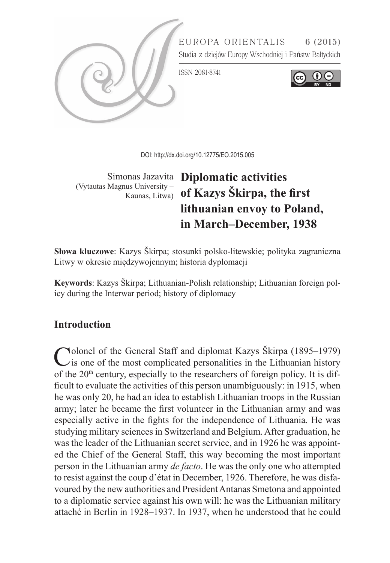

DOI:<http://dx.doi.org/10.12775/EO.2015.005>

(Vytautas Magnus University –

# Simonas Jazavita **Diplomatic activities**  Kaunas, Litwa) **of Kazys Škirpa, the first lithuanian envoy to Poland, in March–December, 1938**

**Słowa kluczowe**: Kazys Škirpa; stosunki polsko-litewskie; polityka zagraniczna Litwy w okresie międzywojennym; historia dyplomacji

**Keywords**: Kazys Škirpa; Lithuanian-Polish relationship; Lithuanian foreign policy during the Interwar period; history of diplomacy

## **Introduction**

Colonel of the General Staff and diplomat Kazys Škirpa (1895–1979)<br>
is one of the most complicated personalities in the Lithuanian history of the  $20<sup>th</sup>$  century, especially to the researchers of foreign policy. It is difficult to evaluate the activities of this person unambiguously: in 1915, when he was only 20, he had an idea to establish Lithuanian troops in the Russian army; later he became the first volunteer in the Lithuanian army and was especially active in the fights for the independence of Lithuania. He was studying military sciences in Switzerland and Belgium. After graduation, he was the leader of the Lithuanian secret service, and in 1926 he was appointed the Chief of the General Staff, this way becoming the most important person in the Lithuanian army *de facto*. He was the only one who attempted to resist against the coup d'état in December, 1926. Therefore, he was disfavoured by the new authorities and President Antanas Smetona and appointed to a diplomatic service against his own will: he was the Lithuanian military attaché in Berlin in 1928–1937. In 1937, when he understood that he could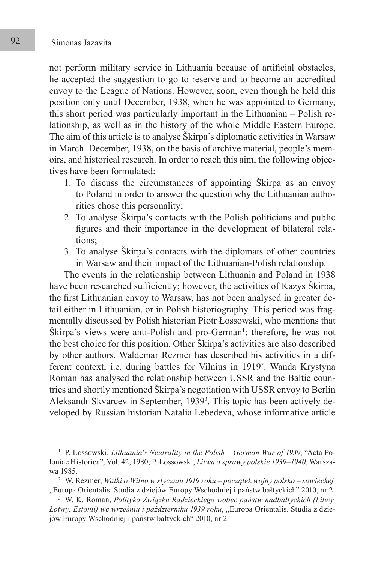not perform military service in Lithuania because of artificial obstacles, he accepted the suggestion to go to reserve and to become an accredited envoy to the League of Nations. However, soon, even though he held this position only until December, 1938, when he was appointed to Germany, this short period was particularly important in the Lithuanian – Polish relationship, as well as in the history of the whole Middle Eastern Europe. The aim of this article is to analyse Škirpa's diplomatic activities in Warsaw in March–December, 1938, on the basis of archive material, people's memoirs, and historical research. In order to reach this aim, the following objectives have been formulated:

- 1. To discuss the circumstances of appointing Škirpa as an envoy to Poland in order to answer the question why the Lithuanian authorities chose this personality;
- 2. To analyse Škirpa's contacts with the Polish politicians and public figures and their importance in the development of bilateral relations;
- 3. To analyse Škirpa's contacts with the diplomats of other countries in Warsaw and their impact of the Lithuanian-Polish relationship.

The events in the relationship between Lithuania and Poland in 1938 have been researched sufficiently; however, the activities of Kazys Škirpa, the first Lithuanian envoy to Warsaw, has not been analysed in greater detail either in Lithuanian, or in Polish historiography. This period was fragmentally discussed by Polish historian Piotr Łossowski, who mentions that Skirpa's views were anti-Polish and pro-German<sup>1</sup>; therefore, he was not the best choice for this position. Other Škirpa's activities are also described by other authors. Waldemar Rezmer has described his activities in a different context, i.e. during battles for Vilnius in 19192 . Wanda Krystyna Roman has analysed the relationship between USSR and the Baltic countries and shortly mentioned Škirpa's negotiation with USSR envoy to Berlin Aleksandr Skvarcev in September, 19393 . This topic has been actively developed by Russian historian Natalia Lebedeva, whose informative article

<sup>1</sup> P. Łossowski, *Lithuania's Neutrality in the Polish – German War of 1939*, "Acta Poloniae Historica", Vol. 42, 1980; P. Łossowski, *Litwa a sprawy polskie 1939–1940*, Warszawa 1985.

<sup>2</sup> W. Rezmer, *Walki o Wilno w styczniu 1919 roku – początek wojny polsko – sowieckej,* "Europa Orientalis. Studia z dziejów Europy Wschodniej i państw bałtyckich" 2010, nr 2.

<sup>3</sup> W. K. Roman, *Polityka Związku Radzieckiego wobec państw nadbałtyckich (Litwy, Łotwy, Estonii) we wrześniu i październiku 1939 roku*, "Europa Orientalis. Studia z dziejów Europy Wschodniej i państw bałtyckich" 2010, nr 2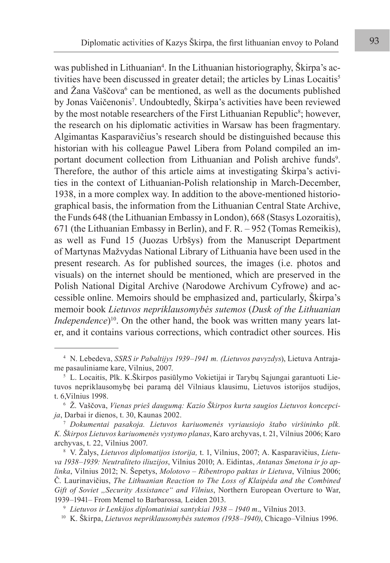was published in Lithuanian<sup>4</sup>. In the Lithuanian historiography, Skirpa's activities have been discussed in greater detail; the articles by Linas Locaitis<sup>5</sup> and Zana Vaščova<sup>6</sup> can be mentioned, as well as the documents published by Jonas Vaičenonis<sup>7</sup>. Undoubtedly, Škirpa's activities have been reviewed by the most notable researchers of the First Lithuanian Republic<sup>8</sup>; however, the research on his diplomatic activities in Warsaw has been fragmentary. Algimantas Kasparavičius's research should be distinguished because this historian with his colleague Pawel Libera from Poland compiled an important document collection from Lithuanian and Polish archive funds<sup>9</sup>. Therefore, the author of this article aims at investigating Škirpa's activities in the context of Lithuanian-Polish relationship in March-December, 1938, in a more complex way. In addition to the above-mentioned historiographical basis, the information from the Lithuanian Central State Archive, the Funds 648 (the Lithuanian Embassy in London), 668 (Stasys Lozoraitis), 671 (the Lithuanian Embassy in Berlin), and F. R. – 952 (Tomas Remeikis), as well as Fund 15 (Juozas Urbšys) from the Manuscript Department of Martynas Mažvydas National Library of Lithuania have been used in the present research. As for published sources, the images (i.e. photos and visuals) on the internet should be mentioned, which are preserved in the Polish National Digital Archive (Narodowe Archivum Cyfrowe) and accessible online. Memoirs should be emphasized and, particularly, Škirpa's memoir book *Lietuvos nepriklausomybės sutemos* (*Dusk of the Lithuanian Independence*)<sup>10</sup>. On the other hand, the book was written many years later, and it contains various corrections, which contradict other sources. His

<sup>4</sup> N. Lebedeva, *SSRS ir Pabaltijys 1939–1941 m. (Lietuvos pavyzdys*), Lietuva Antrajame pasauliniame kare, Vilnius, 2007.

<sup>5</sup> L. Locaitis, Plk. K.Škirpos pasiūlymo Vokietijai ir Tarybų Sąjungai garantuoti Lietuvos nepriklausomybę bei paramą dėl Vilniaus klausimu, Lietuvos istorijos studijos, t. 6,Vilnius 1998.

<sup>6</sup> Ž. Vaščova, *Vienas prieš daugumą: Kazio Škirpos kurta saugios Lietuvos koncepcija*, Darbai ir dienos, t. 30, Kaunas 2002.

<sup>7</sup> *Dokumentai pasakoja. Lietuvos kariuomenės vyriausiojo štabo viršininko plk. K. Škirpos Lietuvos kariuomenės vystymo planas*, Karo archyvas, t. 21, Vilnius 2006; Karo archyvas, t. 22, Vilnius 2007.

<sup>8</sup> V. Žalys, *Lietuvos diplomatijos istorija,* t. 1, Vilnius, 2007; A. Kasparavičius, *Lietuva 1938–1939: Neutraliteto iliuzijos*, Vilnius 2010; A. Eidintas, *Antanas Smetona ir jo aplinka*, Vilnius 2012; N. Šepetys, *Molotovo – Ribentropo paktas ir Lietuva*, Vilnius 2006; Č. Laurinavičius, *The Lithuanian Reaction to The Loss of Klaipėda and the Combined Gift of Soviet ,,Security Assistance" and Vilnius*, Northern European Overture to War, 1939–1941– From Memel to Barbarossa*,* Leiden 2013.

<sup>9</sup> *Lietuvos ir Lenkijos diplomatiniai santykiai 1938 – 1940 m*., Vilnius 2013.

<sup>10</sup> K. Škirpa, *Lietuvos nepriklausomybės sutemos (1938–1940)*, Chicago–Vilnius 1996.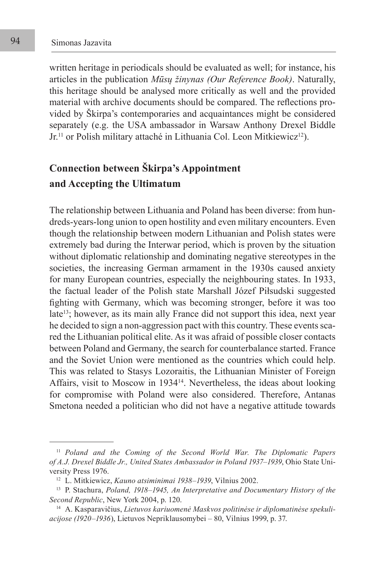written heritage in periodicals should be evaluated as well; for instance, his articles in the publication *Mūsų žinynas (Our Reference Book)*. Naturally, this heritage should be analysed more critically as well and the provided material with archive documents should be compared. The reflections provided by Škirpa's contemporaries and acquaintances might be considered separately (e.g. the USA ambassador in Warsaw Anthony Drexel Biddle Jr.<sup>11</sup> or Polish military attaché in Lithuania Col. Leon Mitkiewicz<sup>12</sup>).

## **Connection between Škirpa's Appointment and Accepting the Ultimatum**

The relationship between Lithuania and Poland has been diverse: from hundreds-years-long union to open hostility and even military encounters. Even though the relationship between modern Lithuanian and Polish states were extremely bad during the Interwar period, which is proven by the situation without diplomatic relationship and dominating negative stereotypes in the societies, the increasing German armament in the 1930s caused anxiety for many European countries, especially the neighbouring states. In 1933, the factual leader of the Polish state Marshall Józef Piłsudski suggested fighting with Germany, which was becoming stronger, before it was too late<sup>13</sup>; however, as its main ally France did not support this idea, next year he decided to sign a non-aggression pact with this country. These events scared the Lithuanian political elite. As it was afraid of possible closer contacts between Poland and Germany, the search for counterbalance started. France and the Soviet Union were mentioned as the countries which could help. This was related to Stasys Lozoraitis, the Lithuanian Minister of Foreign Affairs, visit to Moscow in 193414. Nevertheless, the ideas about looking for compromise with Poland were also considered. Therefore, Antanas Smetona needed a politician who did not have a negative attitude towards

<sup>11</sup> *Poland and the Coming of the Second World War. The Diplomatic Papers of A.J. Drexel Biddle Jr., United States Ambassador in Poland 1937–1939*, Ohio State University Press 1976.

<sup>12</sup> L. Mitkiewicz, *Kauno atsiminimai 1938–1939*, Vilnius 2002.

<sup>13</sup> P. Stachura, *Poland, 1918–1945, An Interpretative and Documentary History of the Second Republic*, New York 2004, p. 120.

<sup>14</sup> A. Kasparavičius, *Lietuvos kariuomenė Maskvos politinėse ir diplomatinėse spekuliacijose (1920–1936*), Lietuvos Nepriklausomybei – 80, Vilnius 1999, p. 37.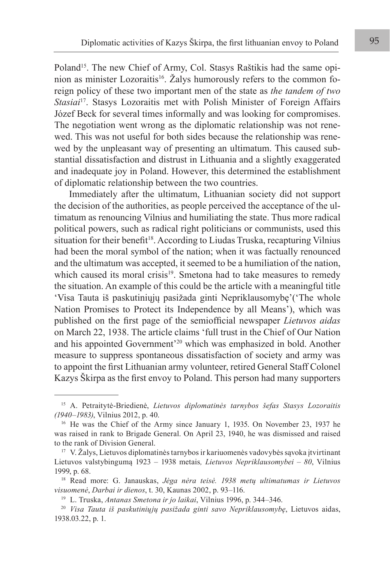Poland<sup>15</sup>. The new Chief of Army, Col. Stasys Raštikis had the same opinion as minister Lozoraitis<sup>16</sup>. Žalys humorously refers to the common foreign policy of these two important men of the state as *the tandem of two Stasiai*17. Stasys Lozoraitis met with Polish Minister of Foreign Affairs Józef Beck for several times informally and was looking for compromises. The negotiation went wrong as the diplomatic relationship was not renewed. This was not useful for both sides because the relationship was renewed by the unpleasant way of presenting an ultimatum. This caused substantial dissatisfaction and distrust in Lithuania and a slightly exaggerated and inadequate joy in Poland. However, this determined the establishment of diplomatic relationship between the two countries.

Immediately after the ultimatum, Lithuanian society did not support the decision of the authorities, as people perceived the acceptance of the ultimatum as renouncing Vilnius and humiliating the state. Thus more radical political powers, such as radical right politicians or communists, used this situation for their benefit<sup>18</sup>. According to Liudas Truska, recapturing Vilnius had been the moral symbol of the nation; when it was factually renounced and the ultimatum was accepted, it seemed to be a humiliation of the nation, which caused its moral crisis<sup>19</sup>. Smetona had to take measures to remedy the situation. An example of this could be the article with a meaningful title 'Visa Tauta iš paskutiniųjų pasižada ginti Nepriklausomybę'('The whole Nation Promises to Protect its Independence by all Means'), which was published on the first page of the semiofficial newspaper *Lietuvos aidas* on March 22, 1938. The article claims 'full trust in the Chief of Our Nation and his appointed Government'20 which was emphasized in bold. Another measure to suppress spontaneous dissatisfaction of society and army was to appoint the first Lithuanian army volunteer, retired General Staff Colonel Kazys Škirpa as the first envoy to Poland. This person had many supporters

<sup>15</sup> A. Petraitytė-Briedienė, *Lietuvos diplomatinės tarnybos šefas Stasys Lozoraitis (1940–1983)*, Vilnius 2012, p. 40.

<sup>&</sup>lt;sup>16</sup> He was the Chief of the Army since January 1, 1935. On November 23, 1937 he was raised in rank to Brigade General. On April 23, 1940, he was dismissed and raised to the rank of Division General.

 $17 \text{ V. } \check{\text{Z}}$ alys, Lietuvos diplomatinės tarnybos ir kariuomenės vadovybės sąvoka įtvirtinant Lietuvos valstybingumą 1923 – 1938 metais*, Lietuvos Nepriklausomybei – 80*, Vilnius 1999, p. 68.

<sup>18</sup> Read more: G. Janauskas, *Jėga nėra teisė. 1938 metų ultimatumas ir Lietuvos visuomenė*, *Darbai ir dienos*, t. 30, Kaunas 2002, p. 93–116.

<sup>19</sup> L. Truska, *Antanas Smetona ir jo laikai*, Vilnius 1996, p. 344–346.

<sup>20</sup> *Visa Tauta iš paskutiniųjų pasižada ginti savo Nepriklausomybę*, Lietuvos aidas, 1938.03.22, p. 1.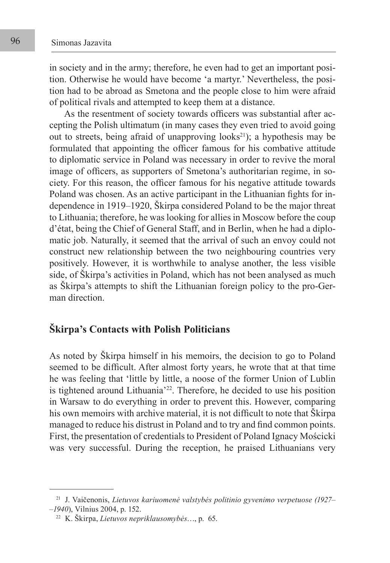in society and in the army; therefore, he even had to get an important position. Otherwise he would have become 'a martyr.' Nevertheless, the position had to be abroad as Smetona and the people close to him were afraid of political rivals and attempted to keep them at a distance.

As the resentment of society towards officers was substantial after accepting the Polish ultimatum (in many cases they even tried to avoid going out to streets, being afraid of unapproving  $\text{looks}^{21}$ ; a hypothesis may be formulated that appointing the officer famous for his combative attitude to diplomatic service in Poland was necessary in order to revive the moral image of officers, as supporters of Smetona's authoritarian regime, in society. For this reason, the officer famous for his negative attitude towards Poland was chosen. As an active participant in the Lithuanian fights for independence in 1919–1920, Škirpa considered Poland to be the major threat to Lithuania; therefore, he was looking for allies in Moscow before the coup d'état, being the Chief of General Staff, and in Berlin, when he had a diplomatic job. Naturally, it seemed that the arrival of such an envoy could not construct new relationship between the two neighbouring countries very positively. However, it is worthwhile to analyse another, the less visible side, of Škirpa's activities in Poland, which has not been analysed as much as Škirpa's attempts to shift the Lithuanian foreign policy to the pro-German direction.

### **Škirpa's Contacts with Polish Politicians**

As noted by Škirpa himself in his memoirs, the decision to go to Poland seemed to be difficult. After almost forty years, he wrote that at that time he was feeling that 'little by little, a noose of the former Union of Lublin is tightened around Lithuania'22. Therefore, he decided to use his position in Warsaw to do everything in order to prevent this. However, comparing his own memoirs with archive material, it is not difficult to note that Škirpa managed to reduce his distrust in Poland and to try and find common points. First, the presentation of credentials to President of Poland Ignacy Mościcki was very successful. During the reception, he praised Lithuanians very

<sup>21</sup> J. Vaičenonis, *Lietuvos kariuomenė valstybės politinio gyvenimo verpetuose (1927– –1940*), Vilnius 2004, p. 152.

<sup>22</sup> K. Škirpa, *Lietuvos nepriklausomybės*…, p. 65.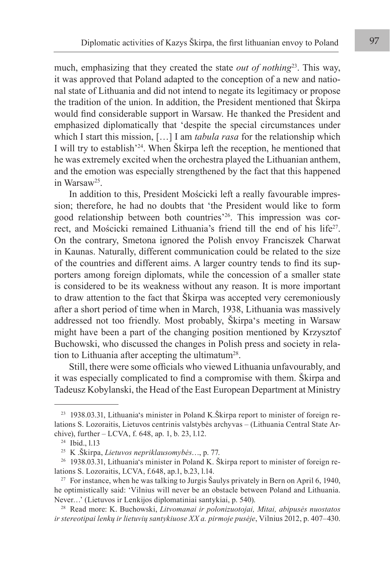much, emphasizing that they created the state *out of nothing*<sup>23</sup>. This way, it was approved that Poland adapted to the conception of a new and national state of Lithuania and did not intend to negate its legitimacy or propose the tradition of the union. In addition, the President mentioned that Škirpa would find considerable support in Warsaw. He thanked the President and emphasized diplomatically that 'despite the special circumstances under which I start this mission, […] I am *tabula rasa* for the relationship which I will try to establish'24. When Škirpa left the reception, he mentioned that he was extremely excited when the orchestra played the Lithuanian anthem, and the emotion was especially strengthened by the fact that this happened in Warsaw25.

In addition to this, President Mościcki left a really favourable impression; therefore, he had no doubts that 'the President would like to form good relationship between both countries'26. This impression was correct, and Mościcki remained Lithuania's friend till the end of his life<sup>27</sup>. On the contrary, Smetona ignored the Polish envoy Franciszek Charwat in Kaunas. Naturally, different communication could be related to the size of the countries and different aims. A larger country tends to find its supporters among foreign diplomats, while the concession of a smaller state is considered to be its weakness without any reason. It is more important to draw attention to the fact that Škirpa was accepted very ceremoniously after a short period of time when in March, 1938, Lithuania was massively addressed not too friendly. Most probably, Škirpa's meeting in Warsaw might have been a part of the changing position mentioned by Krzysztof Buchowski, who discussed the changes in Polish press and society in relation to Lithuania after accepting the ultimatum<sup>28</sup>.

Still, there were some officials who viewed Lithuania unfavourably, and it was especially complicated to find a compromise with them. Škirpa and Tadeusz Kobylanski, the Head of the East European Department at Ministry

<sup>23</sup> 1938.03.31, Lithuania's minister in Poland K.Škirpa report to minister of foreign relations S. Lozoraitis, Lietuvos centrinis valstybės archyvas – (Lithuania Central State Archive), further – LCVA, f. 648, ap. 1, b. 23, l.12.

<sup>24</sup> Ibid., l.13

<sup>25</sup> K .Škirpa, *Lietuvos nepriklausomybės*…, p. 77.

<sup>26</sup> 1938.03.31, Lithuania's minister in Poland K. Škirpa report to minister of foreign relations S. Lozoraitis, LCVA, f.648, ap.1, b.23, l.14.

<sup>&</sup>lt;sup>27</sup> For instance, when he was talking to Jurgis Šaulys privately in Bern on April 6, 1940, he optimistically said: 'Vilnius will never be an obstacle between Poland and Lithuania. Never…' (Lietuvos ir Lenkijos diplomatiniai santykiai, p. 540).

<sup>28</sup> Read more: K. Buchowski, *Litvomanai ir polonizuotojai, Mitai, abipusės nuostatos ir stereotipai lenkų ir lietuvių santykiuose XX a. pirmoje pusėje*, Vilnius 2012, p. 407–430.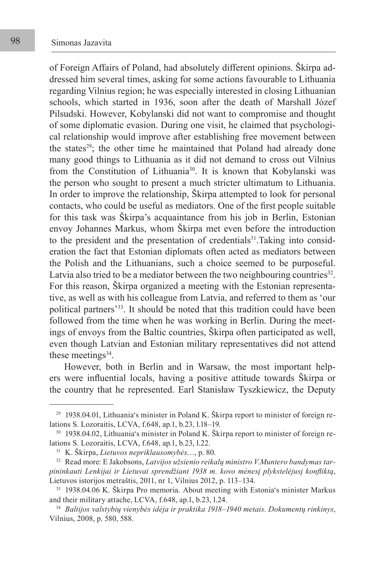of Foreign Affairs of Poland, had absolutely different opinions. Škirpa addressed him several times, asking for some actions favourable to Lithuania regarding Vilnius region; he was especially interested in closing Lithuanian schools, which started in 1936, soon after the death of Marshall Józef Pilsudski. However, Kobylanski did not want to compromise and thought of some diplomatic evasion. During one visit, he claimed that psychological relationship would improve after establishing free movement between the states<sup>29</sup>; the other time he maintained that Poland had already done many good things to Lithuania as it did not demand to cross out Vilnius from the Constitution of Lithuania<sup>30</sup>. It is known that Kobylanski was the person who sought to present a much stricter ultimatum to Lithuania. In order to improve the relationship, Škirpa attempted to look for personal contacts, who could be useful as mediators. One of the first people suitable for this task was Škirpa's acquaintance from his job in Berlin, Estonian envoy Johannes Markus, whom Škirpa met even before the introduction to the president and the presentation of credentials<sup>31</sup>. Taking into consideration the fact that Estonian diplomats often acted as mediators between the Polish and the Lithuanians, such a choice seemed to be purposeful. Latvia also tried to be a mediator between the two neighbouring countries<sup>32</sup>. For this reason, Škirpa organized a meeting with the Estonian representative, as well as with his colleague from Latvia, and referred to them as 'our political partners'33. It should be noted that this tradition could have been followed from the time when he was working in Berlin. During the meetings of envoys from the Baltic countries, Škirpa often participated as well, even though Latvian and Estonian military representatives did not attend these meetings $34$ .

However, both in Berlin and in Warsaw, the most important helpers were influential locals, having a positive attitude towards Škirpa or the country that he represented. Earl Stanisław Tyszkiewicz, the Deputy

 $29$  1938.04.01, Lithuania's minister in Poland K. Škirpa report to minister of foreign relations S. Lozoraitis, LCVA, f.648, ap.1, b.23, l.18–19.

<sup>&</sup>lt;sup>30</sup> 1938.04.02, Lithuania's minister in Poland K. Škirpa report to minister of foreign relations S. Lozoraitis, LCVA, f.648, ap.1, b.23, l.22.

<sup>31</sup> K. Škirpa, *Lietuvos nepriklausomybės*…, p. 80.

<sup>32</sup> Read more: E Jakobsons, *Latvijos užsienio reikalų ministro V.Muntero bandymas tarpininkauti Lenkijai ir Lietuvai sprendžiant 1938 m. kovo mėnesį plykstelėjusį konfliktą*, Lietuvos istorijos metraštis, 2011, nr 1, Vilnius 2012, p. 113–134.

<sup>33</sup> 1938.04.06 K. Škirpa Pro memoria. About meeting with Estonia's minister Markus and their military attache, LCVA, f.648, ap.1, b.23, l.24.

<sup>34</sup> *Baltijos valstybių vienybės idėja ir praktika 1918–1940 metais. Dokumentų rinkinys*, Vilnius, 2008, p. 580, 588.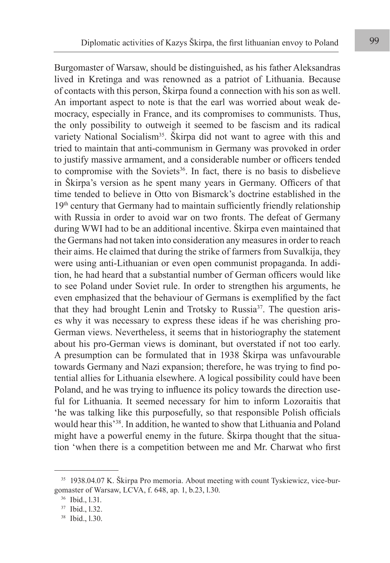Burgomaster of Warsaw, should be distinguished, as his father Aleksandras lived in Kretinga and was renowned as a patriot of Lithuania. Because of contacts with this person, Škirpa found a connection with his son as well. An important aspect to note is that the earl was worried about weak democracy, especially in France, and its compromises to communists. Thus, the only possibility to outweigh it seemed to be fascism and its radical variety National Socialism<sup>35</sup>. Škirpa did not want to agree with this and tried to maintain that anti-communism in Germany was provoked in order to justify massive armament, and a considerable number or officers tended to compromise with the Soviets<sup>36</sup>. In fact, there is no basis to disbelieve in Škirpa's version as he spent many years in Germany. Officers of that time tended to believe in Otto von Bismarck's doctrine established in the 19th century that Germany had to maintain sufficiently friendly relationship with Russia in order to avoid war on two fronts. The defeat of Germany during WWI had to be an additional incentive. Škirpa even maintained that the Germans had not taken into consideration any measures in order to reach their aims. He claimed that during the strike of farmers from Suvalkija, they were using anti-Lithuanian or even open communist propaganda. In addition, he had heard that a substantial number of German officers would like to see Poland under Soviet rule. In order to strengthen his arguments, he even emphasized that the behaviour of Germans is exemplified by the fact that they had brought Lenin and Trotsky to Russia37. The question arises why it was necessary to express these ideas if he was cherishing pro-German views. Nevertheless, it seems that in historiography the statement about his pro-German views is dominant, but overstated if not too early. A presumption can be formulated that in 1938 Škirpa was unfavourable towards Germany and Nazi expansion; therefore, he was trying to find potential allies for Lithuania elsewhere. A logical possibility could have been Poland, and he was trying to influence its policy towards the direction useful for Lithuania. It seemed necessary for him to inform Lozoraitis that 'he was talking like this purposefully, so that responsible Polish officials would hear this'38. In addition, he wanted to show that Lithuania and Poland might have a powerful enemy in the future. Škirpa thought that the situation 'when there is a competition between me and Mr. Charwat who first

<sup>35</sup> 1938.04.07 K. Škirpa Pro memoria. About meeting with count Tyskiewicz, vice-burgomaster of Warsaw, LCVA, f. 648, ap. 1, b.23, l.30.

<sup>36</sup> Ibid., l.31.

<sup>37</sup> Ibid., l.32.

<sup>38</sup> Ibid., l.30.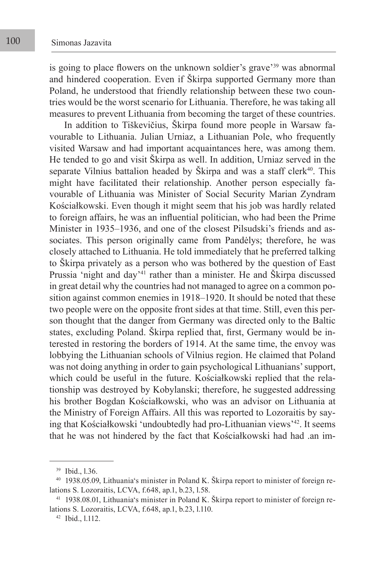is going to place flowers on the unknown soldier's grave'39 was abnormal and hindered cooperation. Even if Škirpa supported Germany more than Poland, he understood that friendly relationship between these two countries would be the worst scenario for Lithuania. Therefore, he was taking all measures to prevent Lithuania from becoming the target of these countries.

In addition to Tiškevičius, Škirpa found more people in Warsaw favourable to Lithuania. Julian Urniaz, a Lithuanian Pole, who frequently visited Warsaw and had important acquaintances here, was among them. He tended to go and visit Škirpa as well. In addition, Urniaz served in the separate Vilnius battalion headed by Škirpa and was a staff clerk $40$ . This might have facilitated their relationship. Another person especially favourable of Lithuania was Minister of Social Security Marian Zyndram Kościałkowski. Even though it might seem that his job was hardly related to foreign affairs, he was an influential politician, who had been the Prime Minister in 1935–1936, and one of the closest Pilsudski's friends and associates. This person originally came from Pandėlys; therefore, he was closely attached to Lithuania. He told immediately that he preferred talking to Škirpa privately as a person who was bothered by the question of East Prussia 'night and day'<sup>41</sup> rather than a minister. He and Škirpa discussed in great detail why the countries had not managed to agree on a common position against common enemies in 1918–1920. It should be noted that these two people were on the opposite front sides at that time. Still, even this person thought that the danger from Germany was directed only to the Baltic states, excluding Poland. Škirpa replied that, first, Germany would be interested in restoring the borders of 1914. At the same time, the envoy was lobbying the Lithuanian schools of Vilnius region. He claimed that Poland was not doing anything in order to gain psychological Lithuanians' support, which could be useful in the future. Kościałkowski replied that the relationship was destroyed by Kobylanski; therefore, he suggested addressing his brother Bogdan Kościałkowski, who was an advisor on Lithuania at the Ministry of Foreign Affairs. All this was reported to Lozoraitis by saying that Kościałkowski 'undoubtedly had pro-Lithuanian views'42. It seems that he was not hindered by the fact that Kościałkowski had had .an im-

<sup>39</sup> Ibid., l.36.

<sup>40</sup> 1938.05.09, Lithuania's minister in Poland K. Škirpa report to minister of foreign relations S. Lozoraitis, LCVA, f.648, ap.1, b.23, l.58.

<sup>41</sup> 1938.08.01, Lithuania's minister in Poland K. Škirpa report to minister of foreign relations S. Lozoraitis, LCVA, f.648, ap.1, b.23, l.110.

<sup>42</sup> Ibid., l.112.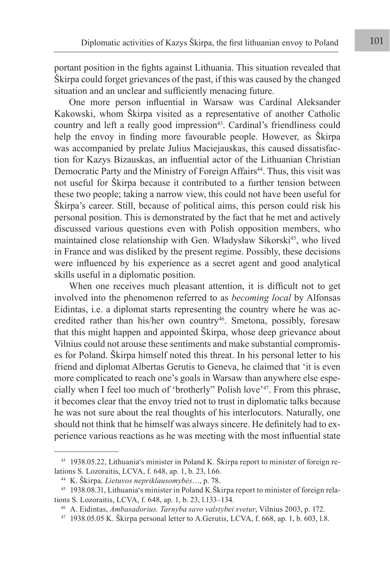portant position in the fights against Lithuania. This situation revealed that Škirpa could forget grievances of the past, if this was caused by the changed situation and an unclear and sufficiently menacing future.

One more person influential in Warsaw was Cardinal Aleksander Kakowski, whom Škirpa visited as a representative of another Catholic country and left a really good impression<sup>43</sup>. Cardinal's friendliness could help the envoy in finding more favourable people. However, as Škirpa was accompanied by prelate Julius Maciejauskas, this caused dissatisfaction for Kazys Bizauskas, an influential actor of the Lithuanian Christian Democratic Party and the Ministry of Foreign Affairs<sup>44</sup>. Thus, this visit was not useful for Škirpa because it contributed to a further tension between these two people; taking a narrow view, this could not have been useful for Škirpa's career. Still, because of political aims, this person could risk his personal position. This is demonstrated by the fact that he met and actively discussed various questions even with Polish opposition members, who maintained close relationship with Gen. Władysław Sikorski<sup>45</sup>, who lived in France and was disliked by the present regime. Possibly, these decisions were influenced by his experience as a secret agent and good analytical skills useful in a diplomatic position.

When one receives much pleasant attention, it is difficult not to get involved into the phenomenon referred to as *becoming local* by Alfonsas Eidintas, i.e. a diplomat starts representing the country where he was accredited rather than his/her own country<sup>46</sup>. Smetona, possibly, foresaw that this might happen and appointed Škirpa, whose deep grievance about Vilnius could not arouse these sentiments and make substantial compromises for Poland. Škirpa himself noted this threat. In his personal letter to his friend and diplomat Albertas Gerutis to Geneva, he claimed that 'it is even more complicated to reach one's goals in Warsaw than anywhere else especially when I feel too much of 'brotherly" Polish love'47. From this phrase, it becomes clear that the envoy tried not to trust in diplomatic talks because he was not sure about the real thoughts of his interlocutors. Naturally, one should not think that he himself was always sincere. He definitely had to experience various reactions as he was meeting with the most influential state

<sup>43</sup> 1938.05.22, Lithuania's minister in Poland K. Škirpa report to minister of foreign relations S. Lozoraitis, LCVA, f. 648, ap. 1, b. 23, l.66.

<sup>44</sup> K. Škirpa*, Lietuvos nepriklausomybės*…, p. 78.

<sup>45</sup> 1938.08.31, Lithuania's minister in Poland K.Škirpa report to minister of foreign relations S. Lozoraitis, LCVA, f. 648, ap. 1, b. 23, l.133–134.

<sup>46</sup> A. Eidintas, *Ambasadorius. Tarnyba savo valstybei svetur*, Vilnius 2003, p. 172.

 $47$  1938.05.05 K. Škirpa personal letter to A.Gerutis, LCVA, f. 668, ap. 1, b. 603, 1.8.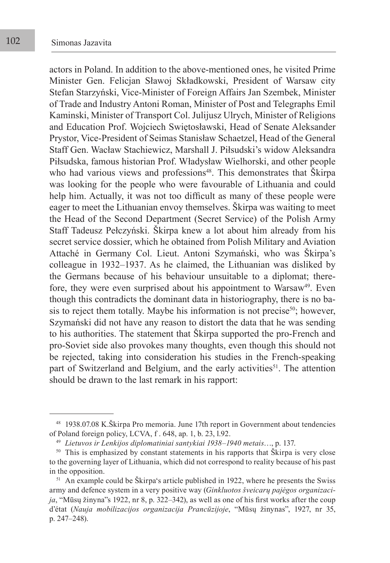actors in Poland. In addition to the above-mentioned ones, he visited Prime Minister Gen. Felicjan Sławoj Składkowski, President of Warsaw city Stefan Starzyński, Vice-Minister of Foreign Affairs Jan Szembek, Minister of Trade and Industry Antoni Roman, Minister of Post and Telegraphs Emil Kaminski, Minister of Transport Col. Julijusz Ulrych, Minister of Religions and Education Prof. Wojciech Swiętosławski, Head of Senate Aleksander Prystor, Vice-President of Seimas Stanisław Schaetzel, Head of the General Staff Gen. Wacław Stachiewicz, Marshall J. Piłsudski's widow Aleksandra Piłsudska, famous historian Prof. Władysław Wielhorski, and other people who had various views and professions<sup>48</sup>. This demonstrates that Škirpa was looking for the people who were favourable of Lithuania and could help him. Actually, it was not too difficult as many of these people were eager to meet the Lithuanian envoy themselves. Škirpa was waiting to meet the Head of the Second Department (Secret Service) of the Polish Army Staff Tadeusz Pełczyński. Škirpa knew a lot about him already from his secret service dossier, which he obtained from Polish Military and Aviation Attaché in Germany Col. Lieut. Antoni Szymański, who was Škirpa's colleague in 1932–1937. As he claimed, the Lithuanian was disliked by the Germans because of his behaviour unsuitable to a diplomat; therefore, they were even surprised about his appointment to Warsaw<sup>49</sup>. Even though this contradicts the dominant data in historiography, there is no basis to reject them totally. Maybe his information is not precise<sup>50</sup>; however, Szymański did not have any reason to distort the data that he was sending to his authorities. The statement that Škirpa supported the pro-French and pro-Soviet side also provokes many thoughts, even though this should not be rejected, taking into consideration his studies in the French-speaking part of Switzerland and Belgium, and the early activities<sup>51</sup>. The attention should be drawn to the last remark in his rapport:

<sup>48</sup> 1938.07.08 K.Škirpa Pro memoria. June 17th report in Government about tendencies of Poland foreign policy, LCVA, f . 648, ap. 1, b. 23, l.92.

<sup>49</sup> *Lietuvos ir Lenkijos diplomatiniai santykiai 1938–1940 metais*…, p. 137.

<sup>&</sup>lt;sup>50</sup> This is emphasized by constant statements in his rapports that Škirpa is very close to the governing layer of Lithuania, which did not correspond to reality because of his past in the opposition.

<sup>&</sup>lt;sup>51</sup> An example could be Škirpa's article published in 1922, where he presents the Swiss army and defence system in a very positive way (*Ginkluotos šveicarų pajėgos organizacija*, "Mūsų žinyna"s 1922, nr 8, p. 322–342), as well as one of his first works after the coup d'état (*Nauja mobilizacijos organizacija Prancūzijoje*, "Mūsų žinynas", 1927, nr 35, p. 247–248).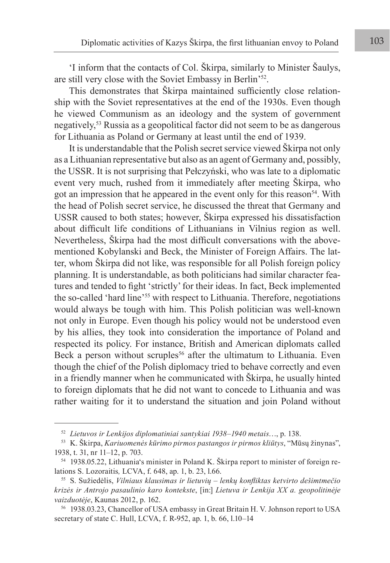'I inform that the contacts of Col. Škirpa, similarly to Minister Šaulys, are still very close with the Soviet Embassy in Berlin'52.

This demonstrates that Škirpa maintained sufficiently close relationship with the Soviet representatives at the end of the 1930s. Even though he viewed Communism as an ideology and the system of government negatively,53 Russia as a geopolitical factor did not seem to be as dangerous for Lithuania as Poland or Germany at least until the end of 1939.

It is understandable that the Polish secret service viewed Škirpa not only as a Lithuanian representative but also as an agent of Germany and, possibly, the USSR. It is not surprising that Pełczyński, who was late to a diplomatic event very much, rushed from it immediately after meeting Škirpa, who got an impression that he appeared in the event only for this reason<sup>54</sup>. With the head of Polish secret service, he discussed the threat that Germany and USSR caused to both states; however, Škirpa expressed his dissatisfaction about difficult life conditions of Lithuanians in Vilnius region as well. Nevertheless, Škirpa had the most difficult conversations with the abovementioned Kobylanski and Beck, the Minister of Foreign Affairs. The latter, whom Škirpa did not like, was responsible for all Polish foreign policy planning. It is understandable, as both politicians had similar character features and tended to fight 'strictly' for their ideas. In fact, Beck implemented the so-called 'hard line'55 with respect to Lithuania. Therefore, negotiations would always be tough with him. This Polish politician was well-known not only in Europe. Even though his policy would not be understood even by his allies, they took into consideration the importance of Poland and respected its policy. For instance, British and American diplomats called Beck a person without scruples<sup>56</sup> after the ultimatum to Lithuania. Even though the chief of the Polish diplomacy tried to behave correctly and even in a friendly manner when he communicated with Škirpa, he usually hinted to foreign diplomats that he did not want to concede to Lithuania and was rather waiting for it to understand the situation and join Poland without

<sup>52</sup> *Lietuvos ir Lenkijos diplomatiniai santykiai 1938–1940 metais*…, p. 138.

<sup>53</sup> K. Škirpa, *Kariuomenės kūrimo pirmos pastangos ir pirmos kliūtys*, "Mūsų žinynas", 1938, t. 31, nr 11–12, p. 703.

<sup>54</sup> 1938.05.22, Lithuania's minister in Poland K. Škirpa report to minister of foreign relations S. Lozoraitis*,* LCVA, f. 648, ap. 1, b. 23, l.66.

<sup>55</sup> S. Sužiedėlis, *Vilniaus klausimas ir lietuvių – lenkų konfliktas ketvirto dešimtmečio krizės ir Antrojo pasaulinio karo kontekste*, [in:] *Lietuva ir Lenkija XX a. geopolitinėje vaizduotėje*, Kaunas 2012, p. 162.

<sup>56</sup> 1938.03.23, Chancellor of USA embassy in Great Britain H. V. Johnson report to USA secretary of state C. Hull, LCVA, f. R-952, ap. 1, b. 66, l.10–14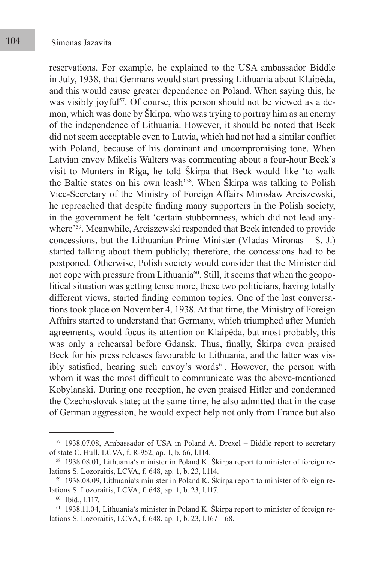reservations. For example, he explained to the USA ambassador Biddle in July, 1938, that Germans would start pressing Lithuania about Klaipėda, and this would cause greater dependence on Poland. When saying this, he was visibly joyful<sup>57</sup>. Of course, this person should not be viewed as a demon, which was done by Škirpa, who was trying to portray him as an enemy of the independence of Lithuania. However, it should be noted that Beck did not seem acceptable even to Latvia, which had not had a similar conflict with Poland, because of his dominant and uncompromising tone. When Latvian envoy Mikelis Walters was commenting about a four-hour Beck's visit to Munters in Riga, he told Škirpa that Beck would like 'to walk the Baltic states on his own leash'58. When Škirpa was talking to Polish Vice-Secretary of the Ministry of Foreign Affairs Mirosław Arciszewski, he reproached that despite finding many supporters in the Polish society, in the government he felt 'certain stubbornness, which did not lead anywhere'<sup>59</sup>. Meanwhile, Arciszewski responded that Beck intended to provide concessions, but the Lithuanian Prime Minister (Vladas Mironas – S. J.) started talking about them publicly; therefore, the concessions had to be postponed. Otherwise, Polish society would consider that the Minister did not cope with pressure from Lithuania<sup>60</sup>. Still, it seems that when the geopolitical situation was getting tense more, these two politicians, having totally different views, started finding common topics. One of the last conversations took place on November 4, 1938. At that time, the Ministry of Foreign Affairs started to understand that Germany, which triumphed after Munich agreements, would focus its attention on Klaipėda, but most probably, this was only a rehearsal before Gdansk. Thus, finally, Škirpa even praised Beck for his press releases favourable to Lithuania, and the latter was visibly satisfied, hearing such envoy's words<sup>61</sup>. However, the person with whom it was the most difficult to communicate was the above-mentioned Kobylanski. During one reception, he even praised Hitler and condemned the Czechoslovak state; at the same time, he also admitted that in the case of German aggression, he would expect help not only from France but also

<sup>57</sup> 1938.07.08, Ambassador of USA in Poland A. Drexel – Biddle report to secretary of state C. Hull, LCVA, f. R-952, ap. 1, b. 66, l.114.

<sup>58</sup> 1938.08.01, Lithuania's minister in Poland K. Škirpa report to minister of foreign relations S. Lozoraitis, LCVA, f. 648, ap. 1, b. 23, l.114.

<sup>59</sup> 1938.08.09, Lithuania's minister in Poland K. Škirpa report to minister of foreign relations S. Lozoraitis, LCVA, f. 648, ap. 1, b. 23, l.117.

<sup>60</sup> Ibid., l.117.

<sup>61</sup> 1938.11.04, Lithuania's minister in Poland K. Škirpa report to minister of foreign relations S. Lozoraitis, LCVA, f. 648, ap. 1, b. 23, l.167–168.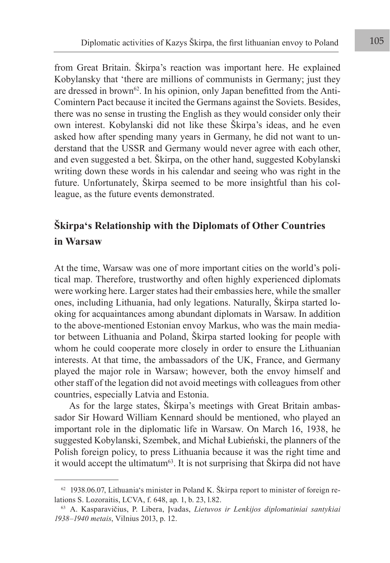from Great Britain. Škirpa's reaction was important here. He explained Kobylansky that 'there are millions of communists in Germany; just they are dressed in brown<sup>62</sup>. In his opinion, only Japan benefitted from the Anti-Comintern Pact because it incited the Germans against the Soviets. Besides, there was no sense in trusting the English as they would consider only their own interest. Kobylanski did not like these Škirpa's ideas, and he even asked how after spending many years in Germany, he did not want to understand that the USSR and Germany would never agree with each other, and even suggested a bet. Škirpa, on the other hand, suggested Kobylanski writing down these words in his calendar and seeing who was right in the future. Unfortunately, Škirpa seemed to be more insightful than his colleague, as the future events demonstrated.

## **Škirpa's Relationship with the Diplomats of Other Countries in Warsaw**

At the time, Warsaw was one of more important cities on the world's political map. Therefore, trustworthy and often highly experienced diplomats were working here. Larger states had their embassies here, while the smaller ones, including Lithuania, had only legations. Naturally, Škirpa started looking for acquaintances among abundant diplomats in Warsaw. In addition to the above-mentioned Estonian envoy Markus, who was the main mediator between Lithuania and Poland, Škirpa started looking for people with whom he could cooperate more closely in order to ensure the Lithuanian interests. At that time, the ambassadors of the UK, France, and Germany played the major role in Warsaw; however, both the envoy himself and other staff of the legation did not avoid meetings with colleagues from other countries, especially Latvia and Estonia.

As for the large states, Škirpa's meetings with Great Britain ambassador Sir Howard William Kennard should be mentioned, who played an important role in the diplomatic life in Warsaw. On March 16, 1938, he suggested Kobylanski, Szembek, and Michał Łubieński, the planners of the Polish foreign policy, to press Lithuania because it was the right time and it would accept the ultimatum<sup>63</sup>. It is not surprising that Škirpa did not have

 $62$  1938.06.07, Lithuania's minister in Poland K. Škirpa report to minister of foreign relations S. Lozoraitis, LCVA, f. 648, ap. 1, b. 23, l.82.

<sup>63</sup> A. Kasparavičius, P. Libera, Įvadas, *Lietuvos ir Lenkijos diplomatiniai santykiai 1938–1940 metais*, Vilnius 2013, p. 12.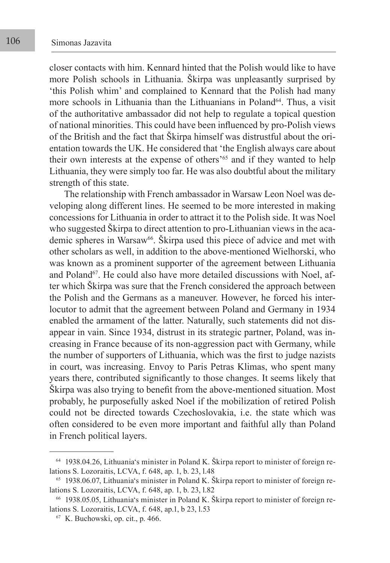closer contacts with him. Kennard hinted that the Polish would like to have more Polish schools in Lithuania. Škirpa was unpleasantly surprised by 'this Polish whim' and complained to Kennard that the Polish had many more schools in Lithuania than the Lithuanians in Poland<sup>64</sup>. Thus, a visit of the authoritative ambassador did not help to regulate a topical question of national minorities. This could have been influenced by pro-Polish views of the British and the fact that Škirpa himself was distrustful about the orientation towards the UK. He considered that 'the English always care about their own interests at the expense of others'<sup>65</sup> and if they wanted to help Lithuania, they were simply too far. He was also doubtful about the military strength of this state.

The relationship with French ambassador in Warsaw Leon Noel was developing along different lines. He seemed to be more interested in making concessions for Lithuania in order to attract it to the Polish side. It was Noel who suggested Škirpa to direct attention to pro-Lithuanian views in the academic spheres in Warsaw<sup>66</sup>. Škirpa used this piece of advice and met with other scholars as well, in addition to the above-mentioned Wielhorski, who was known as a prominent supporter of the agreement between Lithuania and Poland<sup>67</sup>. He could also have more detailed discussions with Noel, after which Škirpa was sure that the French considered the approach between the Polish and the Germans as a maneuver. However, he forced his interlocutor to admit that the agreement between Poland and Germany in 1934 enabled the armament of the latter. Naturally, such statements did not disappear in vain. Since 1934, distrust in its strategic partner, Poland, was increasing in France because of its non-aggression pact with Germany, while the number of supporters of Lithuania, which was the first to judge nazists in court, was increasing. Envoy to Paris Petras Klimas, who spent many years there, contributed significantly to those changes. It seems likely that Škirpa was also trying to benefit from the above-mentioned situation. Most probably, he purposefully asked Noel if the mobilization of retired Polish could not be directed towards Czechoslovakia, i.e. the state which was often considered to be even more important and faithful ally than Poland in French political layers.

<sup>64</sup> 1938.04.26, Lithuania's minister in Poland K. Škirpa report to minister of foreign relations S. Lozoraitis, LCVA, f. 648, ap. 1, b. 23, l.48

<sup>65</sup> 1938.06.07, Lithuania's minister in Poland K. Škirpa report to minister of foreign relations S. Lozoraitis, LCVA, f. 648, ap. 1, b. 23, l.82

<sup>66</sup> 1938.05.05, Lithuania's minister in Poland K. Škirpa report to minister of foreign relations S. Lozoraitis, LCVA, f. 648, ap.1, b 23, l.53

<sup>67</sup> K. Buchowski, op. cit., p. 466.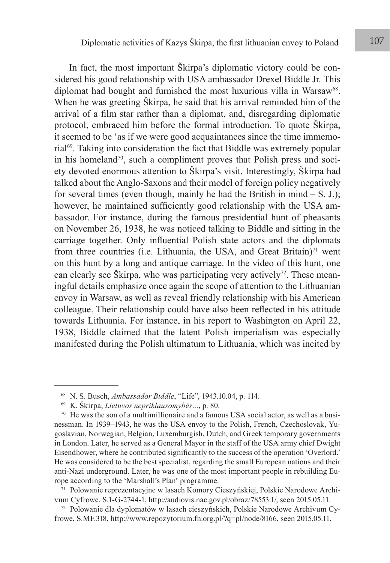In fact, the most important Škirpa's diplomatic victory could be considered his good relationship with USA ambassador Drexel Biddle Jr. This diplomat had bought and furnished the most luxurious villa in Warsaw<sup>68</sup>. When he was greeting Škirpa, he said that his arrival reminded him of the arrival of a film star rather than a diplomat, and, disregarding diplomatic protocol, embraced him before the formal introduction. To quote Škirpa, it seemed to be 'as if we were good acquaintances since the time immemorial<sup>69</sup>. Taking into consideration the fact that Biddle was extremely popular in his homeland<sup>70</sup>, such a compliment proves that Polish press and society devoted enormous attention to Škirpa's visit. Interestingly, Škirpa had talked about the Anglo-Saxons and their model of foreign policy negatively for several times (even though, mainly he had the British in mind  $- S$ . J.); however, he maintained sufficiently good relationship with the USA ambassador. For instance, during the famous presidential hunt of pheasants on November 26, 1938, he was noticed talking to Biddle and sitting in the carriage together. Only influential Polish state actors and the diplomats from three countries (i.e. Lithuania, the USA, and Great Britain) $71$  went on this hunt by a long and antique carriage. In the video of this hunt, one can clearly see Škirpa, who was participating very actively<sup>72</sup>. These meaningful details emphasize once again the scope of attention to the Lithuanian envoy in Warsaw, as well as reveal friendly relationship with his American colleague. Their relationship could have also been reflected in his attitude towards Lithuania. For instance, in his report to Washington on April 22, 1938, Biddle claimed that the latent Polish imperialism was especially manifested during the Polish ultimatum to Lithuania, which was incited by

<sup>68</sup> N. S. Busch, *Ambassador Biddle*, "Life", 1943.10.04, p. 114.

<sup>69</sup> K. Škirpa, *Lietuvos nepriklausomybės…*, p. 80.

 $70$  He was the son of a multimillionaire and a famous USA social actor, as well as a businessman. In 1939–1943, he was the USA envoy to the Polish, French, Czechoslovak, Yugoslavian, Norwegian, Belgian, Luxemburgish, Dutch, and Greek temporary governments in London. Later, he served as a General Mayor in the staff of the USA army chief Dwight Eisendhower, where he contributed significantly to the success of the operation 'Overlord.' He was considered to be the best specialist, regarding the small European nations and their anti-Nazi underground. Later, he was one of the most important people in rebuilding Europe according to the 'Marshall's Plan' programme.

<sup>71</sup> Polowanie reprezentacyjne w lasach Komory Cieszyńskiej, Polskie Narodowe Archivum Cyfrowe, S.1-G-2744-1, <http://audiovis.nac.gov.pl/obraz/78553:1/>, seen 2015.05.11.

<sup>72</sup> Polowanie dla dyplomatów w lasach cieszyńskich, Polskie Narodowe Archivum Cyfrowe, S.MF.318, [http://www.repozytorium.fn.org.pl/?q=pl/node/8166,](http://www.repozytorium.fn.org.pl/?q=pl/node/8166) seen 2015.05.11.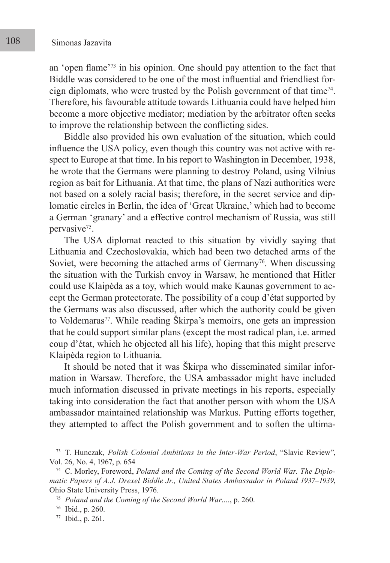an 'open flame'73 in his opinion. One should pay attention to the fact that Biddle was considered to be one of the most influential and friendliest foreign diplomats, who were trusted by the Polish government of that time<sup>74</sup>. Therefore, his favourable attitude towards Lithuania could have helped him become a more objective mediator; mediation by the arbitrator often seeks to improve the relationship between the conflicting sides.

Biddle also provided his own evaluation of the situation, which could influence the USA policy, even though this country was not active with respect to Europe at that time. In his report to Washington in December, 1938, he wrote that the Germans were planning to destroy Poland, using Vilnius region as bait for Lithuania. At that time, the plans of Nazi authorities were not based on a solely racial basis; therefore, in the secret service and diplomatic circles in Berlin, the idea of 'Great Ukraine,' which had to become a German 'granary' and a effective control mechanism of Russia, was still pervasive<sup>75</sup>.

The USA diplomat reacted to this situation by vividly saying that Lithuania and Czechoslovakia, which had been two detached arms of the Soviet, were becoming the attached arms of Germany<sup>76</sup>. When discussing the situation with the Turkish envoy in Warsaw, he mentioned that Hitler could use Klaipėda as a toy, which would make Kaunas government to accept the German protectorate. The possibility of a coup d'état supported by the Germans was also discussed, after which the authority could be given to Voldemaras<sup>77</sup>. While reading Škirpa's memoirs, one gets an impression that he could support similar plans (except the most radical plan, i.e. armed coup d'état, which he objected all his life), hoping that this might preserve Klaipėda region to Lithuania.

It should be noted that it was Škirpa who disseminated similar information in Warsaw. Therefore, the USA ambassador might have included much information discussed in private meetings in his reports, especially taking into consideration the fact that another person with whom the USA ambassador maintained relationship was Markus. Putting efforts together, they attempted to affect the Polish government and to soften the ultima-

<sup>73</sup> T. Hunczak*, Polish Colonial Ambitions in the Inter-War Period*, "Slavic Review", Vol. 26, No. 4, 1967, p. 654

<sup>74</sup> C. Morley, Foreword, *Poland and the Coming of the Second World War. The Diplomatic Papers of A.J. Drexel Biddle Jr., United States Ambassador in Poland 1937–1939*, Ohio State University Press, 1976.

<sup>75</sup> *Poland and the Coming of the Second World War….*, p. 260.

<sup>76</sup> Ibid., p. 260.

<sup>77</sup> Ibid., p. 261.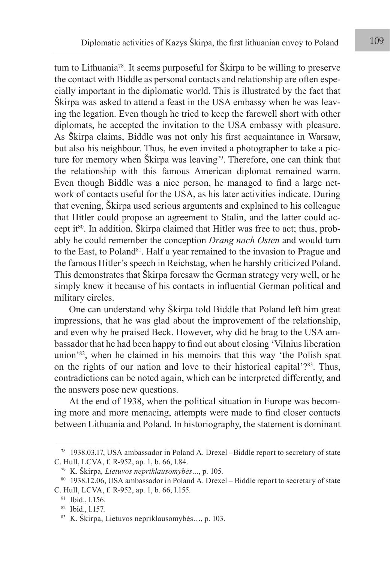tum to Lithuania78. It seems purposeful for Škirpa to be willing to preserve the contact with Biddle as personal contacts and relationship are often especially important in the diplomatic world. This is illustrated by the fact that Škirpa was asked to attend a feast in the USA embassy when he was leaving the legation. Even though he tried to keep the farewell short with other diplomats, he accepted the invitation to the USA embassy with pleasure. As Škirpa claims, Biddle was not only his first acquaintance in Warsaw, but also his neighbour. Thus, he even invited a photographer to take a picture for memory when Škirpa was leaving<sup>79</sup>. Therefore, one can think that the relationship with this famous American diplomat remained warm. Even though Biddle was a nice person, he managed to find a large network of contacts useful for the USA, as his later activities indicate. During that evening, Škirpa used serious arguments and explained to his colleague that Hitler could propose an agreement to Stalin, and the latter could accept it<sup>80</sup>. In addition, Škirpa claimed that Hitler was free to act; thus, probably he could remember the conception *Drang nach Osten* and would turn to the East, to Poland<sup>81</sup>. Half a year remained to the invasion to Prague and the famous Hitler's speech in Reichstag, when he harshly criticized Poland. This demonstrates that Škirpa foresaw the German strategy very well, or he simply knew it because of his contacts in influential German political and military circles.

One can understand why Škirpa told Biddle that Poland left him great impressions, that he was glad about the improvement of the relationship, and even why he praised Beck. However, why did he brag to the USA ambassador that he had been happy to find out about closing 'Vilnius liberation union'82, when he claimed in his memoirs that this way 'the Polish spat on the rights of our nation and love to their historical capital'?83. Thus, contradictions can be noted again, which can be interpreted differently, and the answers pose new questions.

At the end of 1938, when the political situation in Europe was becoming more and more menacing, attempts were made to find closer contacts between Lithuania and Poland. In historiography, the statement is dominant

<sup>78</sup> 1938.03.17, USA ambassador in Poland A. Drexel –Biddle report to secretary of state C. Hull, LCVA, f. R-952, ap. 1, b. 66, l.84.

<sup>79</sup> K. Škirpa*, Lietuvos nepriklausomybės…*, p. 105.

<sup>80 1938.12.06,</sup> USA ambassador in Poland A. Drexel – Biddle report to secretary of state C. Hull, LCVA, f. R-952, ap. 1, b. 66, l.155.

<sup>81</sup> Ibid., l.156.

<sup>82</sup> Ibid., l.157.

<sup>83</sup> K. Škirpa, Lietuvos nepriklausomybės…, p. 103.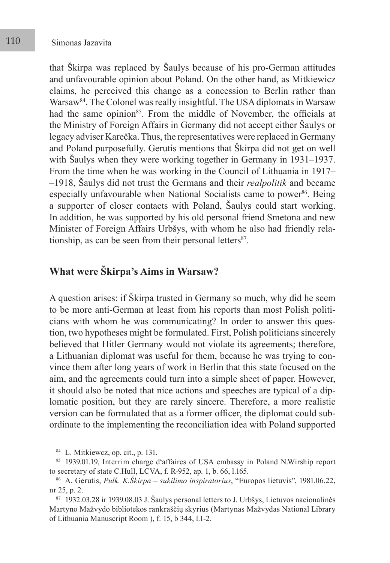that Škirpa was replaced by Šaulys because of his pro-German attitudes and unfavourable opinion about Poland. On the other hand, as Mitkiewicz claims, he perceived this change as a concession to Berlin rather than Warsaw84. The Colonel was really insightful. The USA diplomats in Warsaw had the same opinion<sup>85</sup>. From the middle of November, the officials at the Ministry of Foreign Affairs in Germany did not accept either Šaulys or legacy adviser Karečka. Thus, the representatives were replaced in Germany and Poland purposefully. Gerutis mentions that Škirpa did not get on well with Šaulys when they were working together in Germany in 1931–1937. From the time when he was working in the Council of Lithuania in 1917– –1918, Šaulys did not trust the Germans and their *realpolitik* and became especially unfavourable when National Socialists came to power<sup>86</sup>. Being a supporter of closer contacts with Poland, Šaulys could start working. In addition, he was supported by his old personal friend Smetona and new Minister of Foreign Affairs Urbšys, with whom he also had friendly relationship, as can be seen from their personal letters $87$ .

## **What were Škirpa's Aims in Warsaw?**

A question arises: if Škirpa trusted in Germany so much, why did he seem to be more anti-German at least from his reports than most Polish politicians with whom he was communicating? In order to answer this question, two hypotheses might be formulated. First, Polish politicians sincerely believed that Hitler Germany would not violate its agreements; therefore, a Lithuanian diplomat was useful for them, because he was trying to convince them after long years of work in Berlin that this state focused on the aim, and the agreements could turn into a simple sheet of paper. However, it should also be noted that nice actions and speeches are typical of a diplomatic position, but they are rarely sincere. Therefore, a more realistic version can be formulated that as a former officer, the diplomat could subordinate to the implementing the reconciliation idea with Poland supported

<sup>84</sup> L. Mitkiewcz, op. cit., p. 131.

<sup>85 1939.01.19,</sup> Interrim charge d'affaires of USA embassy in Poland N.Wirship report to secretary of state C.Hull, LCVA, f. R-952, ap. 1, b. 66, l.165.

<sup>86</sup> A. Gerutis, *Pulk. K.Škirpa – sukilimo inspiratorius*, "Europos lietuvis", 1981.06.22, nr 25, p. 2.

<sup>87</sup> 1932.03.28 ir 1939.08.03 J. Šaulys personal letters to J. Urbšys, Lietuvos nacionalinės Martyno Mažvydo bibliotekos rankraščių skyrius (Martynas Mažvydas National Library of Lithuania Manuscript Room ), f. 15, b 344, l.1-2.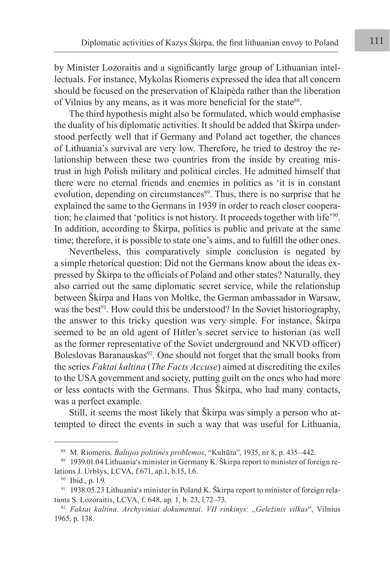by Minister Lozoraitis and a significantly large group of Lithuanian intellectuals. For instance, Mykolas Riomeris expressed the idea that all concern should be focused on the preservation of Klaipėda rather than the liberation of Vilnius by any means, as it was more beneficial for the state<sup>88</sup>.

The third hypothesis might also be formulated, which would emphasise the duality of his diplomatic activities. It should be added that Škirpa understood perfectly well that if Germany and Poland act together, the chances of Lithuania's survival are very low. Therefore, he tried to destroy the relationship between these two countries from the inside by creating mistrust in high Polish military and political circles. He admitted himself that there were no eternal friends and enemies in politics as 'it is in constant evolution, depending on circumstances<sup>89</sup>. Thus, there is no surprise that he explained the same to the Germans in 1939 in order to reach closer cooperation; he claimed that 'politics is not history. It proceeds together with life'90. In addition, according to Škirpa, politics is public and private at the same time; therefore, it is possible to state one's aims, and to fulfill the other ones.

Nevertheless, this comparatively simple conclusion is negated by a simple rhetorical question: Did not the Germans know about the ideas expressed by Škirpa to the officials of Poland and other states? Naturally, they also carried out the same diplomatic secret service, while the relationship between Škirpa and Hans von Moltke, the German ambassador in Warsaw, was the best<sup> $91$ </sup>. How could this be understood? In the Soviet historiography, the answer to this tricky question was very simple. For instance, Škirpa seemed to be an old agent of Hitler's secret service to historian (as well as the former representative of the Soviet underground and NKVD officer) Boleslovas Baranauskas<sup>92</sup>. One should not forget that the small books from the series *Faktai kaltina* (*The Facts Accuse*) aimed at discrediting the exiles to the USA government and society, putting guilt on the ones who had more or less contacts with the Germans. Thus Škirpa, who had many contacts, was a perfect example.

Still, it seems the most likely that Škirpa was simply a person who attempted to direct the events in such a way that was useful for Lithuania,

<sup>88</sup> M. Riomeris*, Baltijos politinės problemos*, "Kultūra", 1935, nr 8, p. 435–442.

<sup>89</sup> 1939.01.04 Lithuania's minister in Germany K. Škirpa report to minister of foreign relations J. Urbšys, LCVA, f.671, ap.1, b.15, l.6.

<sup>90</sup> Ibid., p. l.9.

<sup>&</sup>lt;sup>91</sup> 1938.05.23 Lithuania's minister in Poland K. Škirpa report to minister of foreign relations S. Lozoraitis, LCVA, f. 648, ap. 1, b. 23, l.72–73.

<sup>92</sup> *Faktai kaltina. Archyviniai dokumentai. VII rinkinys: ,,Geležinis vilkas*", Vilnius 1965, p. 138.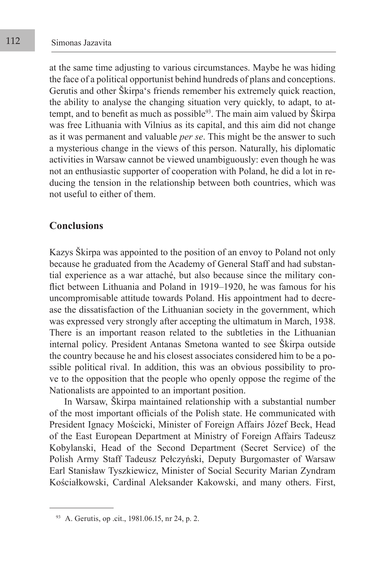at the same time adjusting to various circumstances. Maybe he was hiding the face of a political opportunist behind hundreds of plans and conceptions. Gerutis and other Škirpa's friends remember his extremely quick reaction, the ability to analyse the changing situation very quickly, to adapt, to attempt, and to benefit as much as possible $93$ . The main aim valued by Škirpa was free Lithuania with Vilnius as its capital, and this aim did not change as it was permanent and valuable *per se*. This might be the answer to such a mysterious change in the views of this person. Naturally, his diplomatic activities in Warsaw cannot be viewed unambiguously: even though he was not an enthusiastic supporter of cooperation with Poland, he did a lot in reducing the tension in the relationship between both countries, which was not useful to either of them.

### **Conclusions**

Kazys Škirpa was appointed to the position of an envoy to Poland not only because he graduated from the Academy of General Staff and had substantial experience as a war attaché, but also because since the military conflict between Lithuania and Poland in 1919–1920, he was famous for his uncompromisable attitude towards Poland. His appointment had to decrease the dissatisfaction of the Lithuanian society in the government, which was expressed very strongly after accepting the ultimatum in March, 1938. There is an important reason related to the subtleties in the Lithuanian internal policy. President Antanas Smetona wanted to see Škirpa outside the country because he and his closest associates considered him to be a possible political rival. In addition, this was an obvious possibility to prove to the opposition that the people who openly oppose the regime of the Nationalists are appointed to an important position.

In Warsaw, Škirpa maintained relationship with a substantial number of the most important officials of the Polish state. He communicated with President Ignacy Mościcki, Minister of Foreign Affairs Józef Beck, Head of the East European Department at Ministry of Foreign Affairs Tadeusz Kobylanski, Head of the Second Department (Secret Service) of the Polish Army Staff Tadeusz Pełczyński, Deputy Burgomaster of Warsaw Earl Stanisław Tyszkiewicz, Minister of Social Security Marian Zyndram Kościałkowski, Cardinal Aleksander Kakowski, and many others. First,

<sup>93</sup> A. Gerutis, op .cit., 1981.06.15, nr 24, p. 2.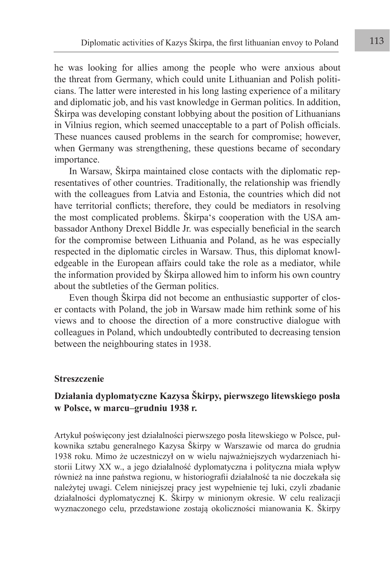he was looking for allies among the people who were anxious about the threat from Germany, which could unite Lithuanian and Polish politicians. The latter were interested in his long lasting experience of a military and diplomatic job, and his vast knowledge in German politics. In addition, Škirpa was developing constant lobbying about the position of Lithuanians in Vilnius region, which seemed unacceptable to a part of Polish officials. These nuances caused problems in the search for compromise; however, when Germany was strengthening, these questions became of secondary importance.

In Warsaw, Škirpa maintained close contacts with the diplomatic representatives of other countries. Traditionally, the relationship was friendly with the colleagues from Latvia and Estonia, the countries which did not have territorial conflicts; therefore, they could be mediators in resolving the most complicated problems. Škirpa's cooperation with the USA ambassador Anthony Drexel Biddle Jr. was especially beneficial in the search for the compromise between Lithuania and Poland, as he was especially respected in the diplomatic circles in Warsaw. Thus, this diplomat knowledgeable in the European affairs could take the role as a mediator, while the information provided by Škirpa allowed him to inform his own country about the subtleties of the German politics.

Even though Škirpa did not become an enthusiastic supporter of closer contacts with Poland, the job in Warsaw made him rethink some of his views and to choose the direction of a more constructive dialogue with colleagues in Poland, which undoubtedly contributed to decreasing tension between the neighbouring states in 1938.

#### **Streszczenie**

## **Działania dyplomatyczne Kazysa Škirpy, pierwszego litewskiego posła w Polsce, w marcu–grudniu 1938 r.**

Artykuł poświęcony jest działalności pierwszego posła litewskiego w Polsce, pułkownika sztabu generalnego Kazysa Škirpy w Warszawie od marca do grudnia 1938 roku. Mimo że uczestniczył on w wielu najważniejszych wydarzeniach historii Litwy XX w., a jego działalność dyplomatyczna i polityczna miała wpływ również na inne państwa regionu, w historiografii działalność ta nie doczekała się należytej uwagi. Celem niniejszej pracy jest wypełnienie tej luki, czyli zbadanie działalności dyplomatycznej K. Škirpy w minionym okresie. W celu realizacji wyznaczonego celu, przedstawione zostają okoliczności mianowania K. Škirpy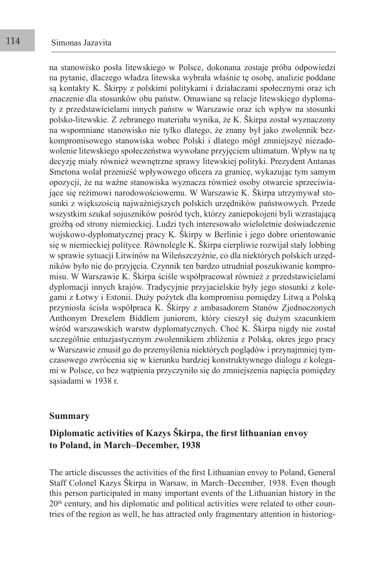na stanowisko posła litewskiego w Polsce, dokonana zostaje próba odpowiedzi na pytanie, dlaczego władza litewska wybrała właśnie tę osobę, analizie poddane są kontakty K. Škirpy z polskimi politykami i działaczami społecznymi oraz ich znaczenie dla stosunków obu państw. Omawiane są relacje litewskiego dyplomaty z przedstawicielami innych państw w Warszawie oraz ich wpływ na stosunki polsko-litewskie. Z zebranego materiału wynika, że K. Škirpa został wyznaczony na wspomniane stanowisko nie tylko dlatego, że znany był jako zwolennik bezkompromisowego stanowiska wobec Polski i dlatego mógł zmniejszyć niezadowolenie litewskiego społeczeństwa wywołane przyjęciem ultimatum. Wpływ na tę decyzję miały również wewnętrzne sprawy litewskiej polityki. Prezydent Antanas Smetona wolał przenieść wpływowego oficera za granicę, wykazując tym samym opozycji, że na ważne stanowiska wyznacza również osoby otwarcie sprzeciwiające się reżimowi narodowościowemu. W Warszawie K. Škirpa utrzymywał stosunki z większością najważniejszych polskich urzędników państwowych. Przede wszystkim szukał sojuszników pośród tych, którzy zaniepokojeni byli wzrastającą groźbą od strony niemieckiej. Ludzi tych interesowało wieloletnie doświadczenie wojskowo-dyplomatycznej pracy K. Škirpy w Berlinie i jego dobre orientowanie się w niemieckiej polityce. Równolegle K. Škirpa cierpliwie rozwijał stały lobbing w sprawie sytuacji Litwinów na Wileńszczyźnie, co dla niektórych polskich urzędników było nie do przyjęcia. Czynnik ten bardzo utrudniał poszukiwanie kompromisu. W Warszawie K. Škirpa ściśle współpracował również z przedstawicielami dyplomacji innych krajów. Tradycyjnie przyjacielskie były jego stosunki z kolegami z Łotwy i Estonii. Duży pożytek dla kompromisu pomiędzy Litwą a Polską przyniosła ścisła współpraca K. Škirpy z ambasadorem Stanów Zjednoczonych Anthonym Drexelem Biddlem juniorem, który cieszył się dużym szacunkiem wśród warszawskich warstw dyplomatycznych. Choć K. Škirpa nigdy nie został szczególnie entuzjastycznym zwolennikiem zbliżenia z Polską, okres jego pracy w Warszawie zmusił go do przemyślenia niektórych poglądów i przynajmniej tymczasowego zwrócenia się w kierunku bardziej konstruktywnego dialogu z kolegami w Polsce, co bez wątpienia przyczyniło się do zmniejszenia napięcia pomiędzy sąsiadami w 1938 r.

#### **Summary**

### **Diplomatic activities of Kazys Škirpa, the first lithuanian envoy to Poland, in March–December, 1938**

The article discusses the activities of the first Lithuanian envoy to Poland, General Staff Colonel Kazys Škirpa in Warsaw, in March–December, 1938. Even though this person participated in many important events of the Lithuanian history in the  $20<sup>th</sup>$  century, and his diplomatic and political activities were related to other countries of the region as well, he has attracted only fragmentary attention in historiog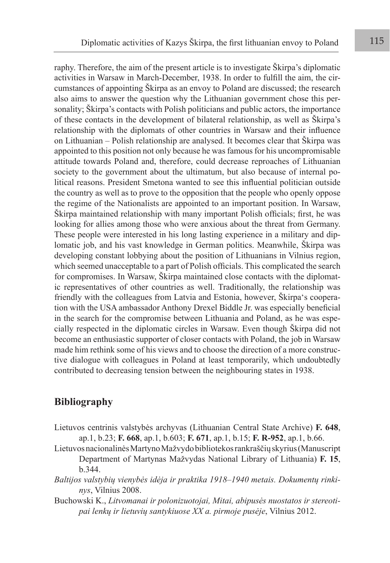raphy. Therefore, the aim of the present article is to investigate Škirpa's diplomatic activities in Warsaw in March-December, 1938. In order to fulfill the aim, the circumstances of appointing Škirpa as an envoy to Poland are discussed; the research also aims to answer the question why the Lithuanian government chose this personality; Škirpa's contacts with Polish politicians and public actors, the importance of these contacts in the development of bilateral relationship, as well as Škirpa's relationship with the diplomats of other countries in Warsaw and their influence on Lithuanian – Polish relationship are analysed. It becomes clear that Škirpa was appointed to this position not only because he was famous for his uncompromisable attitude towards Poland and, therefore, could decrease reproaches of Lithuanian society to the government about the ultimatum, but also because of internal political reasons. President Smetona wanted to see this influential politician outside the country as well as to prove to the opposition that the people who openly oppose the regime of the Nationalists are appointed to an important position. In Warsaw, Škirpa maintained relationship with many important Polish officials; first, he was looking for allies among those who were anxious about the threat from Germany. These people were interested in his long lasting experience in a military and diplomatic job, and his vast knowledge in German politics. Meanwhile, Škirpa was developing constant lobbying about the position of Lithuanians in Vilnius region, which seemed unacceptable to a part of Polish officials. This complicated the search for compromises. In Warsaw, Škirpa maintained close contacts with the diplomatic representatives of other countries as well. Traditionally, the relationship was friendly with the colleagues from Latvia and Estonia, however, Škirpa's cooperation with the USA ambassador Anthony Drexel Biddle Jr. was especially beneficial in the search for the compromise between Lithuania and Poland, as he was especially respected in the diplomatic circles in Warsaw. Even though Škirpa did not become an enthusiastic supporter of closer contacts with Poland, the job in Warsaw made him rethink some of his views and to choose the direction of a more constructive dialogue with colleagues in Poland at least temporarily, which undoubtedly contributed to decreasing tension between the neighbouring states in 1938.

## **Bibliography**

- Lietuvos centrinis valstybės archyvas (Lithuanian Central State Archive) **F. 648**, ap.1, b.23; **F. 668**, ap.1, b.603; **F. 671**, ap.1, b.15; **F. R-952**, ap.1, b.66.
- Lietuvos nacionalinės Martyno Mažvydo bibliotekos rankraščių skyrius (Manuscript Department of Martynas Mažvydas National Library of Lithuania) **F. 15**, b.344.
- *Baltijos valstybių vienybės idėja ir praktika 1918–1940 metais. Dokumentų rinkinys*, Vilnius 2008.
- Buchowski K., *Litvomanai ir polonizuotojai, Mitai, abipusės nuostatos ir stereotipai lenkų ir lietuvių santykiuose XX a. pirmoje pusėje*, Vilnius 2012.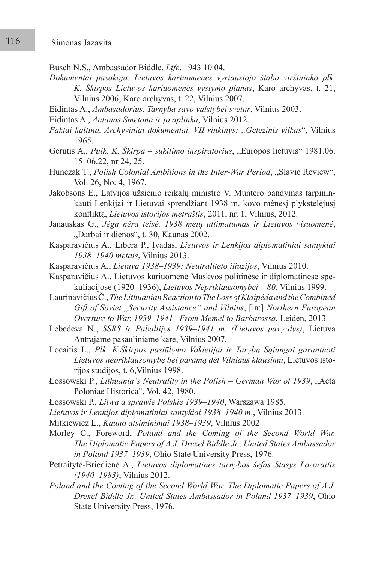Busch N.S., Ambassador Biddle, *Life*, 1943 10 04.

- *Dokumentai pasakoja. Lietuvos kariuomenės vyriausiojo štabo viršininko plk. K. Škirpos Lietuvos kariuomenės vystymo planas*, Karo archyvas, t. 21, Vilnius 2006; Karo archyvas, t. 22, Vilnius 2007.
- Eidintas A., *Ambasadorius. Tarnyba savo valstybei svetur*, Vilnius 2003.
- Eidintas A., *Antanas Smetona ir jo aplinka*, Vilnius 2012.
- *Faktai kaltina. Archyviniai dokumentai. VII rinkinys: ,,Geležinis vilkas*", Vilnius 1965.
- Gerutis A., *Pulk. K. Škirpa sukilimo inspiratorius*, "Europos lietuvis" 1981.06. 15–06.22, nr 24, 25.

Hunczak T., *Polish Colonial Ambitions in the Inter-War Period*, "Slavic Review", Vol. 26, No. 4, 1967.

- Jakobsons E., Latvijos užsienio reikalų ministro V. Muntero bandymas tarpininkauti Lenkijai ir Lietuvai sprendžiant 1938 m. kovo mėnesį plykstelėjusį konfliktą, *Lietuvos istorijos metraštis*, 2011, nr. 1, Vilnius, 2012.
- Janauskas G., *Jėga nėra teisė. 1938 metų ultimatumas ir Lietuvos visuomenė*, "Darbai ir dienos", t. 30, Kaunas 2002.

Kasparavičius A., Libera P., Įvadas, *Lietuvos ir Lenkijos diplomatiniai santykiai 1938–1940 metais*, Vilnius 2013.

- Kasparavičius A., *Lietuva 1938–1939: Neutraliteto iliuzijos*, Vilnius 2010.
- Kasparavičius A., Lietuvos kariuomenė Maskvos politinėse ir diplomatinėse spekuliacijose (1920–1936), *Lietuvos Nepriklausomybei – 80*, Vilnius 1999.

Laurinavičius Č., *The Lithuanian Reaction to The Loss of Klaipėda and the Combined Gift of Soviet ,,Security Assistance" and Vilnius*, [in:] *Northern European Overture to War, 1939–1941– From Memel to Barbarossa*, Leiden, 2013

- Lebedeva N., *SSRS ir Pabaltijys 1939–1941 m. (Lietuvos pavyzdys)*, Lietuva Antrajame pasauliniame kare, Vilnius 2007.
- Locaitis L., *Plk. K.Škirpos pasiūlymo Vokietijai ir Tarybų Sąjungai garantuoti Lietuvos nepriklausomybę bei paramą dėl Vilniaus klausimu*, Lietuvos istorijos studijos, t. 6,Vilnius 1998.
- Łossowski P., *Lithuania's Neutrality in the Polish German War of 1939*, "Acta Poloniae Historica", Vol. 42, 1980.
- Łossowski P., *Litwa a sprawie Polskie 1939–1940*, Warszawa 1985.
- *Lietuvos ir Lenkijos diplomatiniai santykiai 1938–1940 m*., Vilnius 2013.
- Mitkiewicz L., *Kauno atsiminimai 1938–1939*, Vilnius 2002
- Morley C., Foreword, *Poland and the Coming of the Second World War. The Diplomatic Papers of A.J. Drexel Biddle Jr., United States Ambassador in Poland 1937–1939*, Ohio State University Press, 1976.
- Petraitytė-Briedienė A., *Lietuvos diplomatinės tarnybos šefas Stasys Lozoraitis (1940–1983)*, Vilnius 2012.
- *Poland and the Coming of the Second World War. The Diplomatic Papers of A.J. Drexel Biddle Jr., United States Ambassador in Poland 1937–1939*, Ohio State University Press, 1976.